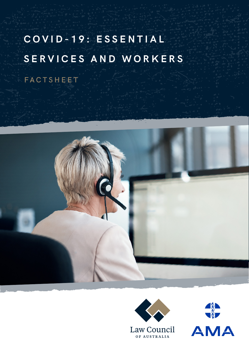# **C O V I D - 1 9 : E S S E N T I A L SERVICES AND WORKERS**

FACTSHEET





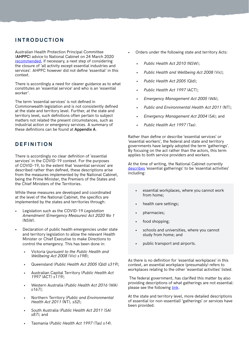### **INTRODUCTION**

Australian Health Protection Principal Committee (**AHPPC**) advice to National Cabinet on 24 March 2020 [recommended,](https://www.health.gov.au/news/australian-health-protection-principal-committee-ahppc-advice-to-national-cabinet-on-24-march-2020-0) if necessary, a next step of considering the closure of 'all activity except essential industries and services'. AHPPC however did not define 'essential' in this context.

There is accordingly a need for clearer guidance as to what constitutes an 'essential service' and who is an 'essential worker'.

The term 'essential services' is not defined in Commonwealth legislation and is not consistently defined at the state and territory level. Further, at the state and territory level, such definitions often pertain to subject matters not related the present circumstances, such as industrial action or emergency services. A summary of these definitions can be found at **Appendix A**.

# **DEFINITION**

There is accordingly no clear definition of 'essential services' in the COVID-19 context. For the purposes of COVID-19, to the extent that 'essential services' are described rather than defined, these descriptions arise from the measures implemented by the National Cabinet, being the Prime Minister, the Premiers of the States and the Chief Ministers of the Territories.

While these measures are developed and coordinated at the level of the National Cabinet, the specifics are implemented by the states and territories through:

- Legislation such as the COVID-19 *Legislation Amendment (Emergency Measures) Act 2020 No 1*  (NSW).
- Declaration of public health emergencies under state and territory legislation to allow the relevant Health Minister or Chief Executive to make Directions to control the emergency. This has been done in:
	- Victoria (*pursuant to the Public Health and Wellbeing Act 2008* (Vic) *s198*);
	- Queensland (*Public Health Act 2005* (Qld) *s319*);
	- Australian Capital Territory (*Public Health Act 1997* (ACT) *s119)*;
	- Western Australia (*Public Health Act 2016* (WA) *s167)*;
	- Northern Territory (*Public and Environmental Health Act 2011* (NT)*, s52*);
	- South Australia (*Public Health Act 2011* (SA) *s87)*; and
	- Tasmania (*Public Health Act 1997* (Tas) *s14*).
- Orders under the following state and territory Acts:
	- *• Public Health Act 2010* (NSW);
	- *• Public Health and Wellbeing Act 2008* (Vic);
	- *• Public Health Act 2005* (Qld);
	- *• Public Health Act 1997* (ACT);
	- *• Emergency Management Act 2005* (WA);
	- *• Public and Environmental Health Act 2011* (NT);
	- *• Emergency Management Act 2004* (SA); and
	- *• Public Health Act 1997* (Tas).

Rather than define or describe 'essential services' or 'essential workers', the federal and state and territory governments have largely adopted the term 'gatherings'. By focusing on the act rather than the actors, this term applies to both service providers and workers.

At the time of writing, the National Cabinet currently [describes](https://www.health.gov.au/news/health-alerts/novel-coronavirus-2019-ncov-health-alert/how-to-protect-yourself-and-others-from-coronavirus-covid-19/limits-on-public-gatherings-for-coronavirus-covid-19#essential-gatherings) 'essential gatherings' to be 'essential activities' including:

- essential workplaces, where you cannot work from home;
- health care settings;
- pharmacies;
- food shopping;
- schools and universities, where you cannot study from home; and
- public transport and airports.

As there is no definition for 'essential workplaces' in this context, an essential workplace (presumably) refers to workplaces relating to the other 'essential activities' listed.

 The federal government, has clarified this matter by also providing descriptions of what gatherings are not essential: please see the following [link](https://www.health.gov.au/news/health-alerts/novel-coronavirus-2019-ncov-health-alert/how-to-protect-yourself-and-others-from-coronavirus-covid-19/limits-on-public-gatherings-for-coronavirus-covid-19).

At the state and territory level, more detailed descriptions of essential (or non-essential) 'gatherings' or services have been provided.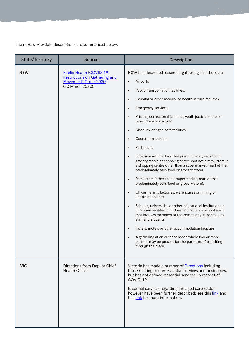The most up-to-date descriptions are summarised below.

| <b>State/Territory</b> | <b>Source</b>                                                                                                       | <b>Description</b>                                                                                                                                                                                                                                                                                                                                                                                                                                                                                                                                                                                                                                                                                                                                                                                                                                                                                                                                                                                                                                                                                                                                                                                                                                                                             |
|------------------------|---------------------------------------------------------------------------------------------------------------------|------------------------------------------------------------------------------------------------------------------------------------------------------------------------------------------------------------------------------------------------------------------------------------------------------------------------------------------------------------------------------------------------------------------------------------------------------------------------------------------------------------------------------------------------------------------------------------------------------------------------------------------------------------------------------------------------------------------------------------------------------------------------------------------------------------------------------------------------------------------------------------------------------------------------------------------------------------------------------------------------------------------------------------------------------------------------------------------------------------------------------------------------------------------------------------------------------------------------------------------------------------------------------------------------|
| <b>NSW</b>             | <b>Public Health (COVID-19)</b><br><b>Restrictions on Gathering and</b><br>Movement) Order 2020<br>(30 March 2020). | NSW has described 'essential gatherings' as those at:<br>Airports<br>$\bullet$<br>Public transportation facilities.<br>$\bullet$<br>Hospital or other medical or health service facilities.<br>Emergency services.<br>$\bullet$<br>Prisons, correctional facilities, youth justice centres or<br>other place of custody.<br>Disability or aged care facilities.<br>$\bullet$<br>Courts or tribunals.<br>Parliament<br>$\bullet$<br>Supermarket, markets that predominately sells food,<br>grocery stores or shopping centre (but not a retail store in<br>a shopping centre other than a supermarket, market that<br>predominately sells food or grocery store).<br>Retail store (other than a supermarket, market that<br>$\bullet$<br>predominately sells food or grocery store).<br>Offices, farms, factories, warehouses or mining or<br>$\bullet$<br>construction sites.<br>Schools, universities or other educational institution or<br>$\bullet$<br>child care facilities (but does not include a school event<br>that involves members of the community in addition to<br>staff and students)<br>Hotels, motels or other accommodation facilities.<br>A gathering at an outdoor space where two or more<br>persons may be present for the purposes of transiting<br>through the place. |
| <b>VIC</b>             | Directions from Deputy Chief<br><b>Health Officer</b>                                                               | Victoria has made a number of <b>Directions</b> including<br>those relating to non-essential services and businesses,<br>but has not defined 'essential services' in respect of<br>COVID-19.<br>Essential services regarding the aged care sector<br>however have been further described: see this link and<br>this link for more information.                                                                                                                                                                                                                                                                                                                                                                                                                                                                                                                                                                                                                                                                                                                                                                                                                                                                                                                                                 |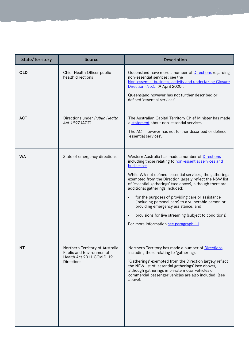| <b>State/Territory</b> | Source                                                                                                              | Description                                                                                                                                                                                                                                                                                                                                                                                                                                                                                                                                                                                               |
|------------------------|---------------------------------------------------------------------------------------------------------------------|-----------------------------------------------------------------------------------------------------------------------------------------------------------------------------------------------------------------------------------------------------------------------------------------------------------------------------------------------------------------------------------------------------------------------------------------------------------------------------------------------------------------------------------------------------------------------------------------------------------|
| <b>QLD</b>             | Chief Health Officer public<br>health directions                                                                    | Queensland have more a number of Directions regarding<br>non-essential services: see the<br>Non-essential business, activity and undertaking Closure<br>Direction (No.5) (9 April 2020).<br>Queensland however has not further described or<br>defined 'essential services'.                                                                                                                                                                                                                                                                                                                              |
| <b>ACT</b>             | Directions under Public Health<br>Act 1997 (ACT)                                                                    | The Australian Capital Territory Chief Minister has made<br>a statement about non-essential services.<br>The ACT however has not further described or defined<br>'essential services'.                                                                                                                                                                                                                                                                                                                                                                                                                    |
| <b>WA</b>              | State of emergency directions                                                                                       | Western Australia has made a number of Directions<br>including those relating to non-essential services and<br>businesses.<br>While WA not defined 'essential services', the gatherings<br>exempted from the Direction largely reflect the NSW list<br>of 'essential gatherings' (see above), although there are<br>additional gatherings included:<br>for the purposes of providing care or assistance<br>(including personal care) to a vulnerable person or<br>providing emergency assistance; and<br>provisions for live streaming (subject to conditions).<br>For more information see paragraph 11. |
| <b>NT</b>              | Northern Territory of Australia<br><b>Public and Environmental</b><br>Health Act 2011 COVID-19<br><b>Directions</b> | Northern Territory has made a number of Directions<br>including those relating to 'gatherings'.<br>'Gatherings' exempted from the Direction largely reflect<br>the NSW list of 'essential gatherings' (see above),<br>although gatherings in private motor vehicles or<br>commercial passenger vehicles are also included: (see<br>above).                                                                                                                                                                                                                                                                |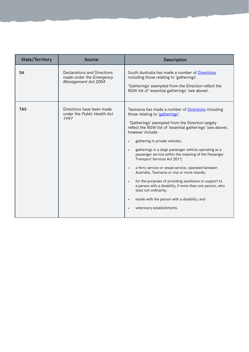| <b>State/Territory</b> | <b>Source</b>                                                                  | <b>Description</b>                                                                                                                                                                                                                                                                                                                                                                                                                                                                                                                                                                                                                                                                                                                                                                    |
|------------------------|--------------------------------------------------------------------------------|---------------------------------------------------------------------------------------------------------------------------------------------------------------------------------------------------------------------------------------------------------------------------------------------------------------------------------------------------------------------------------------------------------------------------------------------------------------------------------------------------------------------------------------------------------------------------------------------------------------------------------------------------------------------------------------------------------------------------------------------------------------------------------------|
| <b>SA</b>              | Declarations and Directions<br>made under the Emergency<br>Management Act 2004 | South Australia has made a number of Directions<br>including those relating to 'gatherings'.<br>'Gatherings' exempted from the Direction reflect the<br>NSW list of 'essential gatherings' (see above).                                                                                                                                                                                                                                                                                                                                                                                                                                                                                                                                                                               |
| <b>TAS</b>             | Directions have been made<br>under the Public Health Act<br>1997               | Tasmania has made a number of <b>Directions</b> including<br>those relating to 'gatherings'.<br>'Gatherings' exempted from the Direction largely<br>reflect the NSW list of 'essential gatherings' (see above),<br>however include:<br>gathering in private vehicles;<br>gatherings in a large passenger vehicle operating as a<br>passenger service within the meaning of the Passenger<br>Transport Services Act 2011;<br>a ferry service or vessel service, operated between<br>$\bullet$<br>Australia, Tasmania or one or more islands;<br>for the purposes of providing assistance or support to<br>$\bullet$<br>a person with a disability, if more than one person, who<br>does not ordinarily;<br>reside with the person with a disability; and<br>veterinary establishments. |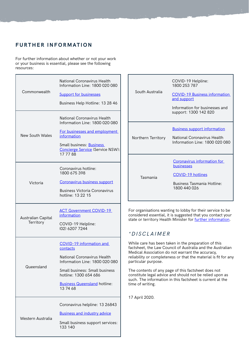### **FURTHER INFORMATION**

For further information about whether or not your work or your business is essential, please see the following resources:

| Commonwealth                    | <b>National Coronavirus Health</b><br>Information Line: 1800 020 080<br><b>Support for businesses</b><br>Business Help Hotline: 13 28 46                                                                            |
|---------------------------------|---------------------------------------------------------------------------------------------------------------------------------------------------------------------------------------------------------------------|
| New South Wales                 | National Coronavirus Health<br>Information Line: 1800 020 080<br>For businesses and employment<br>information<br>Small business: Business<br>Concierge Service (Service NSW):<br>177788                             |
| Victoria                        | Coronavirus hotline:<br>1800 675 398<br>Coronavirus business support<br><b>Business Victoria Coronavirus</b><br>hotline: 13 22 15                                                                                   |
| Australian Capital<br>Territory | <b>ACT Government COVID-19</b><br>information<br>COVID-19 Helpline:<br>(02) 6207 7244                                                                                                                               |
| Queensland                      | COVID-19 information and<br>contacts<br>National Coronavirus Health<br>Information Line: 1800 020 080<br>Small business: Small business<br>hotline: 1300 654 686<br><b>Business Queensland hotline:</b><br>13 74 68 |
| Western Australia               | Coronavirus helpline: 13 26843<br><b>Business and industry advice</b><br>Small business support services:<br>133 140                                                                                                |

|                    | COVID-19 Helpline:<br>1800 253 787                            |
|--------------------|---------------------------------------------------------------|
| South Australia    | <b>COVID-19 Business information</b><br>and support           |
|                    | Information for businesses and<br>support: 1300 142 820       |
|                    | <b>Business support information</b>                           |
| Northern Territory | National Coronavirus Health<br>Information Line: 1800 020 080 |
|                    | Coronavirus information for<br>businesses                     |
| Tasmania           | <b>COVID-19 hotlines</b>                                      |
|                    | <b>Business Tasmania Hotline:</b><br>1800 440 026             |
|                    |                                                               |

For organisations wanting to lobby for their service to be considered essential, it is suggested that you contact your state or territory Health Minister for [further information.](https://www.health.gov.au/about-us/contact-us/local-state-and-territory-health-departments)

#### *\*DISCLAIMER*

While care has been taken in the preparation of this factsheet, the Law Council of Australia and the Australian Medical Association do not warrant the accuracy, reliability or completeness or that the material is fit for any particular purpose.

The contents of any page of this factsheet does not constitute legal advice and should not be relied upon as such. The information in this factsheet is current at the time of writing.

17 April 2020.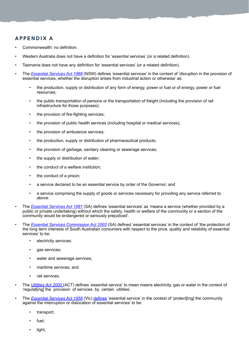# **APPENDIX A**

- Commonwealth: no definition.
- Western Australia does not have a definition for 'essential services' (or a related definition).
- Tasmania does not have any definition for 'essential services' (or a related definition).
- The *[Essential Services Act 1988](https://www.legislation.nsw.gov.au/#/view/act/1988/41)* (NSW) defines 'essential services' in the context of 'disruption in the provision of essential services, whether the disruption arises from industrial action or otherwise' as:
	- the production, supply or distribution of any form of energy, power or fuel or of energy, power or fuel resources;
	- the public transportation of persons or the transportation of freight (including the provision of rail infrastructure for those purposes);
	- the provision of fire-fighting services;
	- the provision of public health services (including hospital or medical services);
	- the provision of ambulance services;
	- the production, supply or distribution of pharmaceutical products;
	- the provision of garbage, sanitary cleaning or sewerage services;
	- the supply or distribution of water;
	- the conduct of a welfare institution;
	- the conduct of a prison;
	- a service declared to be an essential service by order of the Governor; and
	- a service comprising the supply of goods or services necessary for providing any service referred to above.
- The *[Essential Services Act 1981](https://www.legislation.sa.gov.au/LZ/C/A/ESSENTIAL SERVICES ACT 1981/CURRENT/1981.75.AUTH.PDF)* (SA) defines 'essential services' as 'means a service (whether provided by a public or private undertaking) without which the safety, health or welfare of the community or a section of the community would be endangered or seriously prejudiced'.
- The *[Essential Services Commission Act 2002](https://www.legislation.sa.gov.au/LZ/C/A/ESSENTIAL SERVICES COMMISSION ACT 2002/CURRENT/2002.14.AUTH.PDF)* (SA) defined 'essential services' in the context of 'the protection of the long term interests of South Australian consumers with respect to the price, quality and reliability of essential services' to be:
	- electricity services;
	- qas services;
	- water and sewerage services;
	- maritime services; and
	- rail services.
- The *[Utilities Act 2000](https://www.legislation.act.gov.au/View/a/2000-65/current/PDF/2000-65.PDF)* (ACT) defines 'essential service' to mean means electricity, gas or water in the context of 'regulat[ing] the provision of services by certain utilities'.
- The *[Essential Services Act 1958](http://classic.austlii.edu.au/au/legis/vic/consol_act/esa1958208/)* (Vic) [defines](http://classic.austlii.edu.au/au/legis/vic/consol_act/esa1958208/s3.html) 'essential service' in the context of 'protect[ing] the community against the interruption or dislocation of essential services' to be:
	- transport;
	- fuel;
	- light;